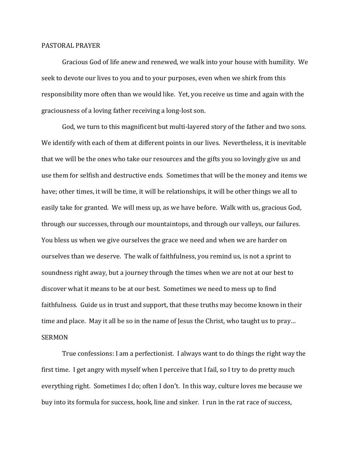## PASTORAL PRAYER

Gracious God of life anew and renewed, we walk into your house with humility. We seek to devote our lives to you and to your purposes, even when we shirk from this responsibility more often than we would like. Yet, you receive us time and again with the graciousness of a loving father receiving a long-lost son.

God, we turn to this magnificent but multi-layered story of the father and two sons. We identify with each of them at different points in our lives. Nevertheless, it is inevitable that we will be the ones who take our resources and the gifts you so lovingly give us and use them for selfish and destructive ends. Sometimes that will be the money and items we have; other times, it will be time, it will be relationships, it will be other things we all to easily take for granted. We will mess up, as we have before. Walk with us, gracious God, through our successes, through our mountaintops, and through our valleys, our failures. You bless us when we give ourselves the grace we need and when we are harder on ourselves than we deserve. The walk of faithfulness, you remind us, is not a sprint to soundness right away, but a journey through the times when we are not at our best to discover what it means to be at our best. Sometimes we need to mess up to find faithfulness. Guide us in trust and support, that these truths may become known in their time and place. May it all be so in the name of Jesus the Christ, who taught us to pray… SERMON

True confessions: I am a perfectionist. I always want to do things the right way the first time. I get angry with myself when I perceive that I fail, so I try to do pretty much everything right. Sometimes I do; often I don't. In this way, culture loves me because we buy into its formula for success, hook, line and sinker. I run in the rat race of success,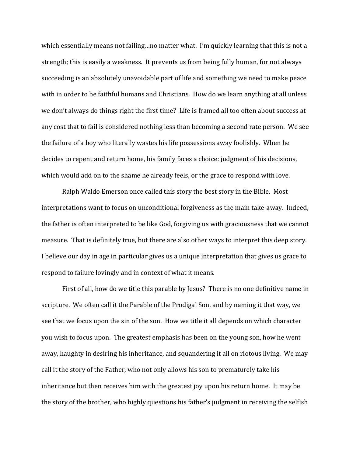which essentially means not failing…no matter what. I'm quickly learning that this is not a strength; this is easily a weakness. It prevents us from being fully human, for not always succeeding is an absolutely unavoidable part of life and something we need to make peace with in order to be faithful humans and Christians. How do we learn anything at all unless we don't always do things right the first time? Life is framed all too often about success at any cost that to fail is considered nothing less than becoming a second rate person. We see the failure of a boy who literally wastes his life possessions away foolishly. When he decides to repent and return home, his family faces a choice: judgment of his decisions, which would add on to the shame he already feels, or the grace to respond with love.

Ralph Waldo Emerson once called this story the best story in the Bible. Most interpretations want to focus on unconditional forgiveness as the main take-away. Indeed, the father is often interpreted to be like God, forgiving us with graciousness that we cannot measure. That is definitely true, but there are also other ways to interpret this deep story. I believe our day in age in particular gives us a unique interpretation that gives us grace to respond to failure lovingly and in context of what it means.

First of all, how do we title this parable by Jesus? There is no one definitive name in scripture. We often call it the Parable of the Prodigal Son, and by naming it that way, we see that we focus upon the sin of the son. How we title it all depends on which character you wish to focus upon. The greatest emphasis has been on the young son, how he went away, haughty in desiring his inheritance, and squandering it all on riotous living. We may call it the story of the Father, who not only allows his son to prematurely take his inheritance but then receives him with the greatest joy upon his return home. It may be the story of the brother, who highly questions his father's judgment in receiving the selfish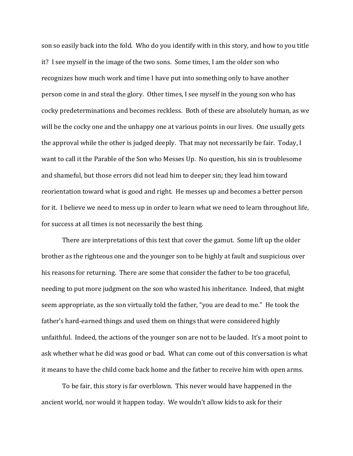son so easily back into the fold. Who do you identify with in this story, and how to you title it? I see myself in the image of the two sons. Some times, I am the older son who recognizes how much work and time I have put into something only to have another person come in and steal the glory. Other times, I see myself in the young son who has cocky predeterminations and becomes reckless. Both of these are absolutely human, as we will be the cocky one and the unhappy one at various points in our lives. One usually gets the approval while the other is judged deeply. That may not necessarily be fair. Today, I want to call it the Parable of the Son who Messes Up. No question, his sin is troublesome and shameful, but those errors did not lead him to deeper sin; they lead him toward reorientation toward what is good and right. He messes up and becomes a better person for it. I believe we need to mess up in order to learn what we need to learn throughout life, for success at all times is not necessarily the best thing.

There are interpretations of this text that cover the gamut. Some lift up the older brother as the righteous one and the younger son to be highly at fault and suspicious over his reasons for returning. There are some that consider the father to be too graceful, needing to put more judgment on the son who wasted his inheritance. Indeed, that might seem appropriate, as the son virtually told the father, "you are dead to me." He took the father's hard-earned things and used them on things that were considered highly unfaithful. Indeed, the actions of the younger son are not to be lauded. It's a moot point to ask whether what he did was good or bad. What can come out of this conversation is what it means to have the child come back home and the father to receive him with open arms.

To be fair, this story is far overblown. This never would have happened in the ancient world, nor would it happen today. We wouldn't allow kids to ask for their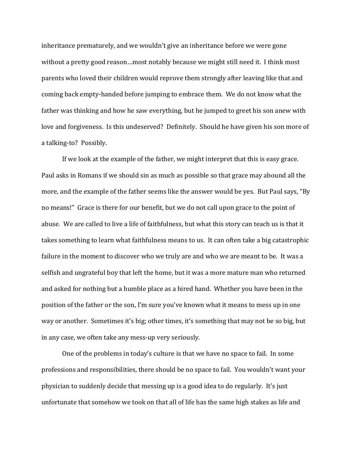inheritance prematurely, and we wouldn't give an inheritance before we were gone without a pretty good reason…most notably because we might still need it. I think most parents who loved their children would reprove them strongly after leaving like that and coming back empty-handed before jumping to embrace them. We do not know what the father was thinking and how he saw everything, but he jumped to greet his son anew with love and forgiveness. Is this undeserved? Definitely. Should he have given his son more of a talking-to? Possibly.

If we look at the example of the father, we might interpret that this is easy grace. Paul asks in Romans if we should sin as much as possible so that grace may abound all the more, and the example of the father seems like the answer would be yes. But Paul says, "By no means!" Grace is there for our benefit, but we do not call upon grace to the point of abuse. We are called to live a life of faithfulness, but what this story can teach us is that it takes something to learn what faithfulness means to us. It can often take a big catastrophic failure in the moment to discover who we truly are and who we are meant to be. It was a selfish and ungrateful boy that left the home, but it was a more mature man who returned and asked for nothing but a humble place as a hired hand. Whether you have been in the position of the father or the son, I'm sure you've known what it means to mess up in one way or another. Sometimes it's big; other times, it's something that may not be so big, but in any case, we often take any mess-up very seriously.

One of the problems in today's culture is that we have no space to fail. In some professions and responsibilities, there should be no space to fail. You wouldn't want your physician to suddenly decide that messing up is a good idea to do regularly. It's just unfortunate that somehow we took on that all of life has the same high stakes as life and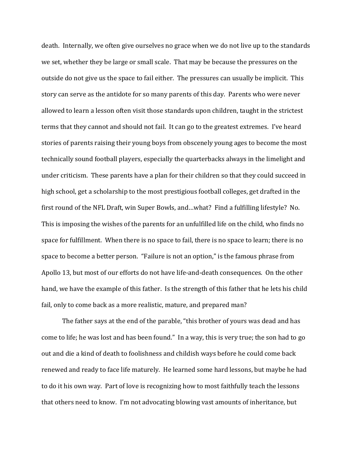death. Internally, we often give ourselves no grace when we do not live up to the standards we set, whether they be large or small scale. That may be because the pressures on the outside do not give us the space to fail either. The pressures can usually be implicit. This story can serve as the antidote for so many parents of this day. Parents who were never allowed to learn a lesson often visit those standards upon children, taught in the strictest terms that they cannot and should not fail. It can go to the greatest extremes. I've heard stories of parents raising their young boys from obscenely young ages to become the most technically sound football players, especially the quarterbacks always in the limelight and under criticism. These parents have a plan for their children so that they could succeed in high school, get a scholarship to the most prestigious football colleges, get drafted in the first round of the NFL Draft, win Super Bowls, and…what? Find a fulfilling lifestyle? No. This is imposing the wishes of the parents for an unfulfilled life on the child, who finds no space for fulfillment. When there is no space to fail, there is no space to learn; there is no space to become a better person. "Failure is not an option," is the famous phrase from Apollo 13, but most of our efforts do not have life-and-death consequences. On the other hand, we have the example of this father. Is the strength of this father that he lets his child fail, only to come back as a more realistic, mature, and prepared man?

The father says at the end of the parable, "this brother of yours was dead and has come to life; he was lost and has been found." In a way, this is very true; the son had to go out and die a kind of death to foolishness and childish ways before he could come back renewed and ready to face life maturely. He learned some hard lessons, but maybe he had to do it his own way. Part of love is recognizing how to most faithfully teach the lessons that others need to know. I'm not advocating blowing vast amounts of inheritance, but